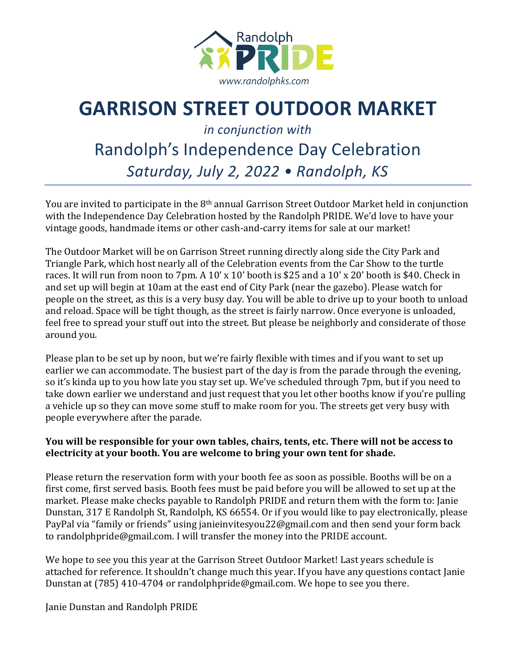

## **GARRISON STREET OUTDOOR MARKET**

*in conjunction with*

## Randolph's Independence Day Celebration *Saturday, July 2, 2022 • Randolph, KS*

You are invited to participate in the 8<sup>th</sup> annual Garrison Street Outdoor Market held in conjunction with the Independence Day Celebration hosted by the Randolph PRIDE. We'd love to have your vintage goods, handmade items or other cash-and-carry items for sale at our market!

The Outdoor Market will be on Garrison Street running directly along side the City Park and Triangle Park, which host nearly all of the Celebration events from the Car Show to the turtle races. It will run from noon to  $7$ pm. A  $10'$  x  $10'$  booth is \$25 and a  $10'$  x  $20'$  booth is \$40. Check in and set up will begin at 10am at the east end of City Park (near the gazebo). Please watch for people on the street, as this is a very busy day. You will be able to drive up to your booth to unload and reload. Space will be tight though, as the street is fairly narrow. Once everyone is unloaded, feel free to spread your stuff out into the street. But please be neighborly and considerate of those around you.

Please plan to be set up by noon, but we're fairly flexible with times and if you want to set up earlier we can accommodate. The busiest part of the day is from the parade through the evening, so it's kinda up to you how late you stay set up. We've scheduled through 7pm, but if you need to take down earlier we understand and just request that you let other booths know if you're pulling a vehicle up so they can move some stuff to make room for you. The streets get very busy with people everywhere after the parade.

## You will be responsible for your own tables, chairs, tents, etc. There will not be access to electricity at your booth. You are welcome to bring your own tent for shade.

Please return the reservation form with your booth fee as soon as possible. Booths will be on a first come, first served basis. Booth fees must be paid before you will be allowed to set up at the market. Please make checks payable to Randolph PRIDE and return them with the form to: Janie Dunstan, 317 E Randolph St, Randolph, KS 66554. Or if you would like to pay electronically, please PayPal via "family or friends" using janieinvitesyou22@gmail.com and then send your form back to randolphpride@gmail.com. I will transfer the money into the PRIDE account.

We hope to see you this year at the Garrison Street Outdoor Market! Last years schedule is attached for reference. It shouldn't change much this year. If you have any questions contact Janie Dunstan at (785) 410-4704 or randolphpride@gmail.com. We hope to see you there.

Janie Dunstan and Randolph PRIDE